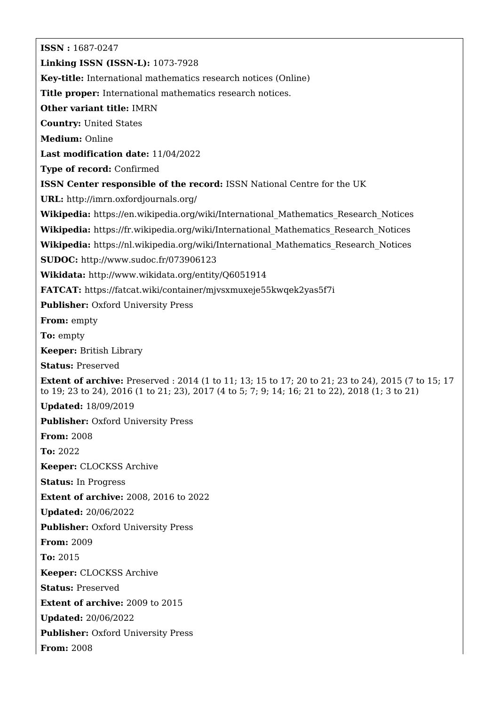**ISSN :** 1687-0247 **Linking ISSN (ISSN-L):** 1073-7928 **Key-title:** International mathematics research notices (Online) **Title proper:** International mathematics research notices. **Other variant title:** IMRN **Country:** United States **Medium:** Online **Last modification date:** 11/04/2022 **Type of record:** Confirmed **ISSN Center responsible of the record:** ISSN National Centre for the UK **URL:** <http://imrn.oxfordjournals.org/> **Wikipedia:** [https://en.wikipedia.org/wiki/International\\_Mathematics\\_Research\\_Notices](https://en.wikipedia.org/wiki/International_Mathematics_Research_Notices) **Wikipedia:** [https://fr.wikipedia.org/wiki/International\\_Mathematics\\_Research\\_Notices](https://fr.wikipedia.org/wiki/International_Mathematics_Research_Notices) **Wikipedia:** [https://nl.wikipedia.org/wiki/International\\_Mathematics\\_Research\\_Notices](https://nl.wikipedia.org/wiki/International_Mathematics_Research_Notices) **SUDOC:** <http://www.sudoc.fr/073906123> **Wikidata:** <http://www.wikidata.org/entity/Q6051914> **FATCAT:** <https://fatcat.wiki/container/mjvsxmuxeje55kwqek2yas5f7i> **Publisher: Oxford University Press From:** empty **To:** empty **Keeper:** British Library **Status:** Preserved **Extent of archive:** Preserved : 2014 (1 to 11; 13; 15 to 17; 20 to 21; 23 to 24), 2015 (7 to 15; 17 to 19; 23 to 24), 2016 (1 to 21; 23), 2017 (4 to 5; 7; 9; 14; 16; 21 to 22), 2018 (1; 3 to 21) **Updated:** 18/09/2019 **Publisher: Oxford University Press From:** 2008 **To:** 2022 **Keeper:** CLOCKSS Archive **Status:** In Progress **Extent of archive:** 2008, 2016 to 2022 **Updated:** 20/06/2022 **Publisher: Oxford University Press From:** 2009 **To:** 2015 **Keeper:** CLOCKSS Archive **Status:** Preserved **Extent of archive:** 2009 to 2015 **Updated:** 20/06/2022 **Publisher: Oxford University Press From:** 2008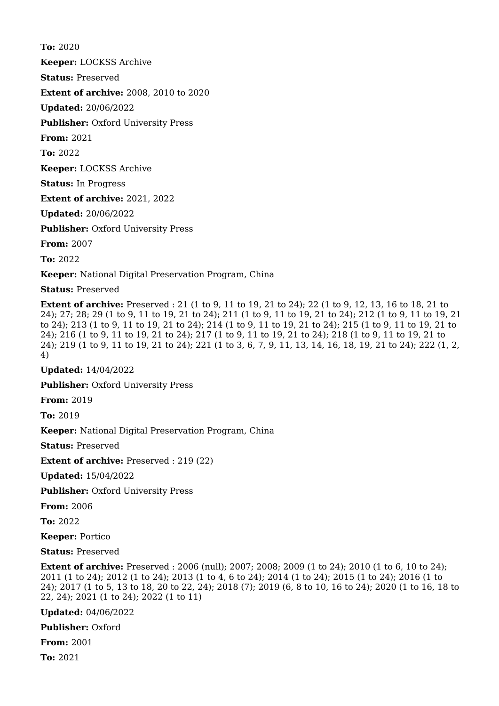**To:** 2020 **Keeper:** LOCKSS Archive **Status:** Preserved **Extent of archive:** 2008, 2010 to 2020 **Updated:** 20/06/2022 **Publisher: Oxford University Press From:** 2021 **To:** 2022 **Keeper:** LOCKSS Archive **Status:** In Progress **Extent of archive:** 2021, 2022 **Updated:** 20/06/2022 **Publisher: Oxford University Press From:** 2007 **To:** 2022 **Keeper:** National Digital Preservation Program, China **Status:** Preserved

**Extent of archive:** Preserved : 21 (1 to 9, 11 to 19, 21 to 24); 22 (1 to 9, 12, 13, 16 to 18, 21 to 24); 27; 28; 29 (1 to 9, 11 to 19, 21 to 24); 211 (1 to 9, 11 to 19, 21 to 24); 212 (1 to 9, 11 to 19, 21 to 24); 213 (1 to 9, 11 to 19, 21 to 24); 214 (1 to 9, 11 to 19, 21 to 24); 215 (1 to 9, 11 to 19, 21 to 24); 216 (1 to 9, 11 to 19, 21 to 24); 217 (1 to 9, 11 to 19, 21 to 24); 218 (1 to 9, 11 to 19, 21 to 24); 219 (1 to 9, 11 to 19, 21 to 24); 221 (1 to 3, 6, 7, 9, 11, 13, 14, 16, 18, 19, 21 to 24); 222 (1, 2, 4)

**Updated:** 14/04/2022

**Publisher:** Oxford University Press

**From:** 2019

**To:** 2019

**Keeper:** National Digital Preservation Program, China

**Status:** Preserved

**Extent of archive:** Preserved : 219 (22)

**Updated:** 15/04/2022

**Publisher: Oxford University Press** 

**From:** 2006

**To:** 2022

**Keeper:** Portico

**Status:** Preserved

**Extent of archive:** Preserved: 2006 (null): 2007: 2008: 2009 (1 to 24): 2010 (1 to 6, 10 to 24): 2011 (1 to 24); 2012 (1 to 24); 2013 (1 to 4, 6 to 24); 2014 (1 to 24); 2015 (1 to 24); 2016 (1 to 24); 2017 (1 to 5, 13 to 18, 20 to 22, 24); 2018 (7); 2019 (6, 8 to 10, 16 to 24); 2020 (1 to 16, 18 to 22, 24); 2021 (1 to 24); 2022 (1 to 11)

**Updated:** 04/06/2022

**Publisher:** Oxford

**From:** 2001

**To:** 2021